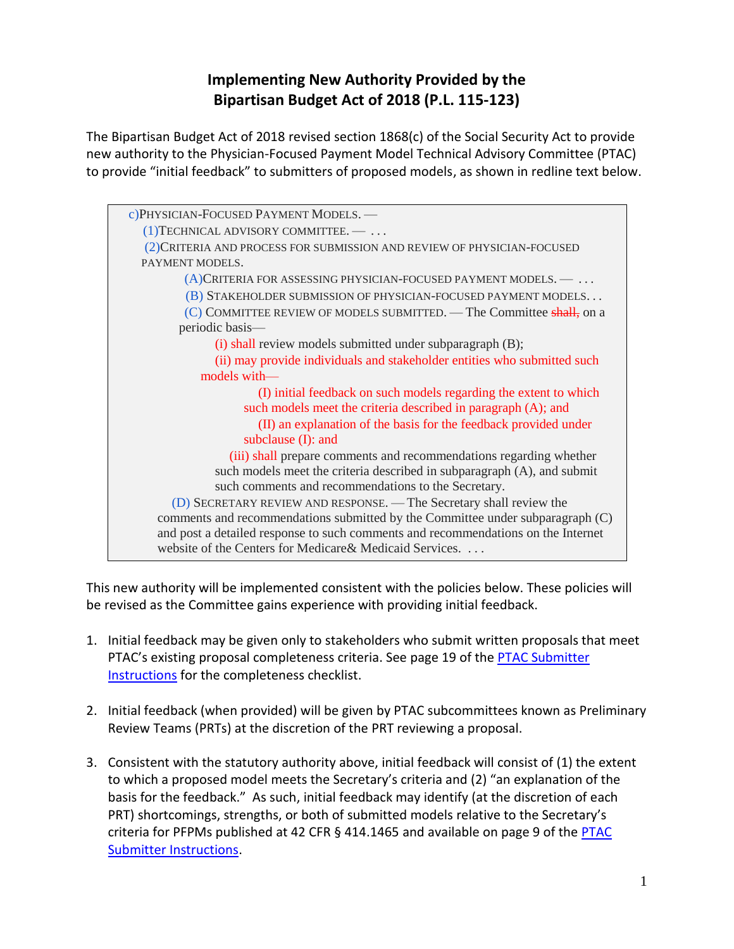## **Implementing New Authority Provided by the Bipartisan Budget Act of 2018 (P.L. 115-123)**

The Bipartisan Budget Act of 2018 revised section 1868(c) of the Social Security Act to provide new authority to the Physician-Focused Payment Model Technical Advisory Committee (PTAC) to provide "initial feedback" to submitters of proposed models, as shown in redline text below.



This new authority will be implemented consistent with the policies below. These policies will be revised as the Committee gains experience with providing initial feedback.

- 1. Initial feedback may be given only to stakeholders who submit written proposals that meet PTAC's existing proposal completeness criteria. See page 19 of the **PTAC Submitter** [Instructions](https://aspe.hhs.gov/proposal-submissions-physician-focused-payment-model-technical-advisory-committee) for the completeness checklist.
- 2. Initial feedback (when provided) will be given by PTAC subcommittees known as Preliminary Review Teams (PRTs) at the discretion of the PRT reviewing a proposal.
- 3. Consistent with the statutory authority above, initial feedback will consist of (1) the extent to which a proposed model meets the Secretary's criteria and (2) "an explanation of the basis for the feedback." As such, initial feedback may identify (at the discretion of each PRT) shortcomings, strengths, or both of submitted models relative to the Secretary's criteria for PFPMs published at 42 CFR § 414.1465 and available on page 9 of the [PTAC](https://aspe.hhs.gov/proposal-submissions-physician-focused-payment-model-technical-advisory-committee)  [Submitter Instructions.](https://aspe.hhs.gov/proposal-submissions-physician-focused-payment-model-technical-advisory-committee)